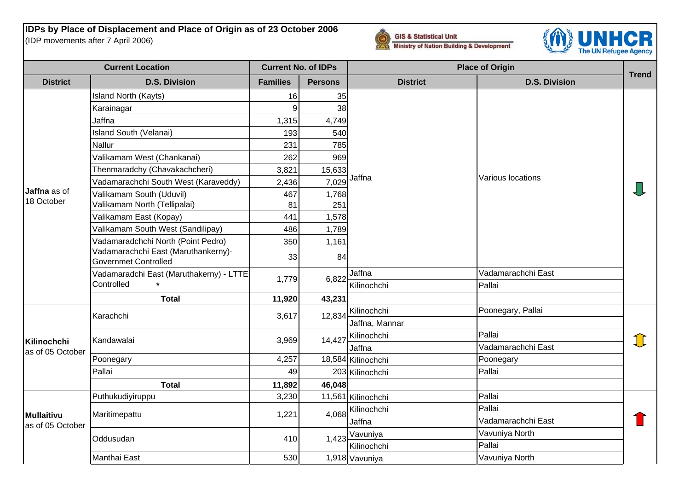**IDPs by Place of Displacement and Place of Origin as of 23 October 2006** (IDP movements after 7 April 2006)





| <b>Current Location</b>                                       |                                                                    | <b>Current No. of IDPs</b> |                | <b>Place of Origin</b> |                      |              |
|---------------------------------------------------------------|--------------------------------------------------------------------|----------------------------|----------------|------------------------|----------------------|--------------|
| <b>District</b>                                               | <b>D.S. Division</b>                                               | <b>Families</b>            | <b>Persons</b> | <b>District</b>        | <b>D.S. Division</b> | <b>Trend</b> |
| Jaffna as of<br>18 October<br>Kilinochchi<br>as of 05 October | Island North (Kayts)                                               | 16                         | 35             |                        |                      |              |
|                                                               | Karainagar                                                         | 9                          | 38             |                        |                      |              |
|                                                               | Jaffna                                                             | 1,315                      | 4,749          |                        |                      |              |
|                                                               | <b>Island South (Velanai)</b>                                      | 193                        | 540            |                        |                      |              |
|                                                               | Nallur                                                             | 231                        | 785            |                        | Various locations    |              |
|                                                               | Valikamam West (Chankanai)                                         | 262                        | 969            |                        |                      |              |
|                                                               | Thenmaradchy (Chavakachcheri)                                      | 3,821                      | 15,633         |                        |                      |              |
|                                                               | Vadamarachchi South West (Karaveddy)                               | 2,436                      |                | $7,029$ Jaffna         |                      |              |
|                                                               | Valikamam South (Uduvil)                                           | 467                        | 1,768          |                        |                      |              |
|                                                               | Valikamam North (Tellipalai)                                       | 81                         | 251            |                        |                      |              |
|                                                               | Valikamam East (Kopay)                                             | 441                        | 1,578          |                        |                      |              |
|                                                               | Valikamam South West (Sandilipay)                                  | 486                        | 1,789          |                        |                      |              |
|                                                               | Vadamaradchchi North (Point Pedro)                                 | 350                        | 1,161          |                        |                      |              |
|                                                               | Vadamarachchi East (Maruthankerny)-<br><b>Governmet Controlled</b> | 33                         | 84             |                        |                      |              |
|                                                               | Vadamaradchi East (Maruthakerny) - LTTE                            | 1,779                      | 6,822          | Jaffna                 | Vadamarachchi East   |              |
|                                                               | Controlled                                                         |                            |                | Kilinochchi            | Pallai               |              |
|                                                               | <b>Total</b>                                                       | 11,920                     | 43,231         |                        |                      |              |
|                                                               | Karachchi                                                          | 3,617                      | 12,834         | Kilinochchi            | Poonegary, Pallai    | 11           |
|                                                               |                                                                    |                            |                | Jaffna, Mannar         |                      |              |
|                                                               | Kandawalai                                                         | 3,969                      | 14,427         | Kilinochchi            | Pallai               |              |
|                                                               |                                                                    |                            |                | Jaffna                 | Vadamarachchi East   |              |
|                                                               | Poonegary                                                          | 4,257                      |                | 18,584 Kilinochchi     | Poonegary            |              |
|                                                               | Pallai                                                             | 49                         |                | 203 Kilinochchi        | Pallai               |              |
|                                                               | <b>Total</b>                                                       | 11,892                     | 46,048         |                        |                      |              |
| Mullaitivu<br>as of 05 October                                | Puthukudiyiruppu                                                   | 3,230                      |                | 11,561 Kilinochchi     | Pallai               |              |
|                                                               | Maritimepattu                                                      | 1,221                      | 4,068          | Kilinochchi            | Pallai               |              |
|                                                               |                                                                    |                            |                | Jaffna                 | Vadamarachchi East   |              |
|                                                               | Oddusudan                                                          | 410                        |                | 1,423 Vavuniya         | Vavuniya North       |              |
|                                                               |                                                                    |                            |                | Kilinochchi            | Pallai               |              |
|                                                               | Manthai East                                                       | 530                        |                | 1,918 Vavuniya         | Vavuniya North       |              |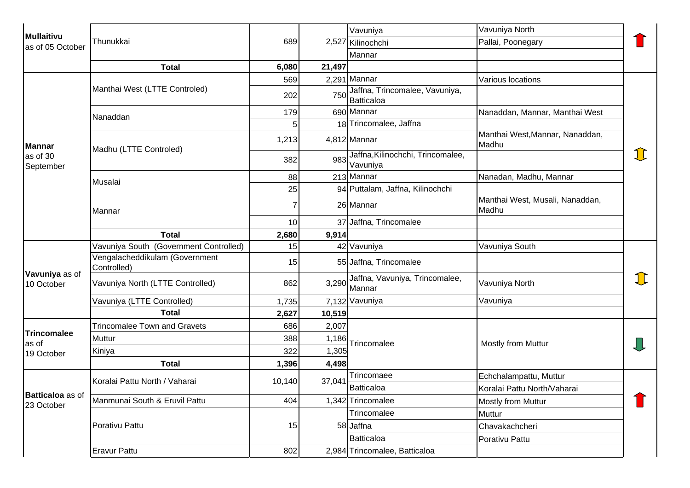| Mullaitivu<br>as of 05 October                                                                              | Thunukkai                                     | 689    |        | Vavuniya                                            | Vavuniya North                           |    |
|-------------------------------------------------------------------------------------------------------------|-----------------------------------------------|--------|--------|-----------------------------------------------------|------------------------------------------|----|
|                                                                                                             |                                               |        |        | 2,527 Kilinochchi                                   | Pallai, Poonegary                        |    |
|                                                                                                             |                                               |        |        | Mannar                                              |                                          |    |
|                                                                                                             | <b>Total</b>                                  | 6,080  | 21,497 |                                                     |                                          |    |
|                                                                                                             | Manthai West (LTTE Controled)                 | 569    |        | 2,291 Mannar                                        | Various locations                        |    |
|                                                                                                             |                                               | 202    | 750    | Jaffna, Trincomalee, Vavuniya,<br><b>Batticaloa</b> |                                          |    |
|                                                                                                             | Nanaddan                                      | 179    |        | 690 Mannar                                          | Nanaddan, Mannar, Manthai West           | J) |
|                                                                                                             |                                               | 5      |        | 18 Trincomalee, Jaffna                              |                                          |    |
| <b>Mannar</b>                                                                                               | Madhu (LTTE Controled)                        | 1,213  |        | 4,812 Mannar                                        | Manthai West, Mannar, Nanaddan,<br>Madhu |    |
| as of 30<br>September                                                                                       |                                               | 382    | 983    | Jaffna, Kilinochchi, Trincomalee,<br>Vavuniya       |                                          |    |
|                                                                                                             | Musalai                                       | 88     |        | 213 Mannar                                          | Nanadan, Madhu, Mannar                   |    |
|                                                                                                             |                                               | 25     |        | 94 Puttalam, Jaffna, Kilinochchi                    |                                          |    |
|                                                                                                             | Mannar                                        | 7      |        | 26 Mannar                                           | Manthai West, Musali, Nanaddan,<br>Madhu |    |
|                                                                                                             |                                               | 10     |        | 37 Jaffna, Trincomalee                              |                                          |    |
|                                                                                                             | <b>Total</b>                                  | 2,680  | 9,914  |                                                     |                                          |    |
|                                                                                                             | Vavuniya South (Government Controlled)        | 15     |        | 42 Vavuniya                                         | Vavuniya South                           |    |
| Vavuniya as of<br>10 October<br><b>Trincomalee</b><br>as of<br>19 October<br>Batticaloa as of<br>23 October | Vengalacheddikulam (Government<br>Controlled) | 15     |        | 55 Jaffna, Trincomalee                              |                                          |    |
|                                                                                                             | Vavuniya North (LTTE Controlled)              | 862    |        | 3,290 Jaffna, Vavuniya, Trincomalee,<br>Mannar      | Vavuniya North                           |    |
|                                                                                                             | Vavuniya (LTTE Controlled)                    | 1,735  |        | 7,132 Vavuniya                                      | Vavuniya                                 |    |
|                                                                                                             | <b>Total</b>                                  | 2,627  | 10,519 |                                                     |                                          |    |
|                                                                                                             | <b>Trincomalee Town and Gravets</b>           | 686    | 2,007  |                                                     |                                          |    |
|                                                                                                             | Muttur                                        | 388    | 1,186  | Trincomalee                                         | <b>Mostly from Muttur</b>                |    |
|                                                                                                             | Kiniya                                        | 322    | 1,305  |                                                     |                                          |    |
|                                                                                                             | <b>Total</b>                                  | 1,396  | 4,498  |                                                     |                                          |    |
|                                                                                                             | Koralai Pattu North / Vaharai                 | 10,140 | 37,041 | Trincomaee                                          | Echchalampattu, Muttur                   |    |
|                                                                                                             |                                               |        |        | Batticaloa                                          | Koralai Pattu North/Vaharai              |    |
|                                                                                                             | Manmunai South & Eruvil Pattu                 | 404    |        | 1,342 Trincomalee                                   | <b>Mostly from Muttur</b>                |    |
|                                                                                                             | Porativu Pattu                                | 15     |        | Trincomalee                                         | Muttur                                   |    |
|                                                                                                             |                                               |        |        | 58 Jaffna                                           | Chavakachcheri                           |    |
|                                                                                                             |                                               |        |        | <b>Batticaloa</b>                                   | Porativu Pattu                           |    |
|                                                                                                             | <b>Eravur Pattu</b>                           | 802    |        | 2,984 Trincomalee, Batticaloa                       |                                          |    |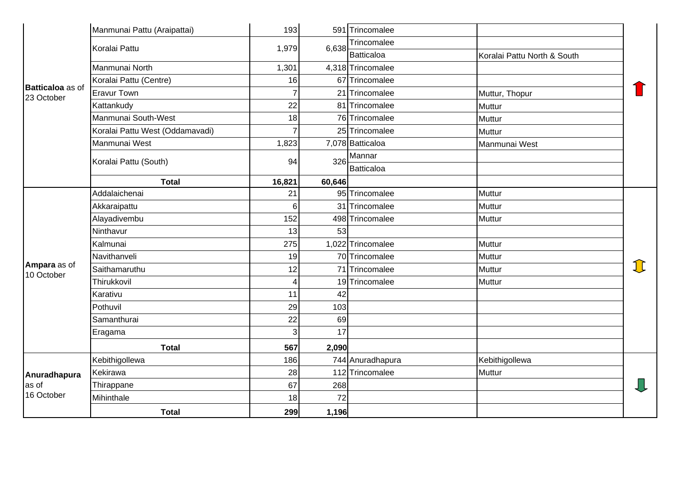| <b>Batticaloa</b> as of<br>23 October | Manmunai Pattu (Araipattai)     | 193            |        | 591 Trincomalee   |                             |             |
|---------------------------------------|---------------------------------|----------------|--------|-------------------|-----------------------------|-------------|
|                                       | Koralai Pattu                   | 1,979          | 6,638  | Trincomalee       |                             |             |
|                                       |                                 |                |        | Batticaloa        | Koralai Pattu North & South |             |
|                                       | Manmunai North                  | 1,301          |        | 4,318 Trincomalee |                             |             |
|                                       | Koralai Pattu (Centre)          | 16             |        | 67 Trincomalee    |                             |             |
|                                       | <b>Eravur Town</b>              | $\overline{7}$ |        | 21 Trincomalee    | Muttur, Thopur              |             |
|                                       | Kattankudy                      | 22             |        | 81 Trincomalee    | Muttur                      |             |
|                                       | Manmunai South-West             | 18             |        | 76 Trincomalee    | <b>Muttur</b>               |             |
|                                       | Koralai Pattu West (Oddamavadi) | $\overline{7}$ |        | 25 Trincomalee    | Muttur                      |             |
|                                       | Manmunai West                   | 1,823          |        | 7,078 Batticaloa  | Manmunai West               |             |
|                                       |                                 | 94             | 326    | Mannar            |                             |             |
|                                       | Koralai Pattu (South)           |                |        | Batticaloa        |                             |             |
|                                       | <b>Total</b>                    | 16,821         | 60,646 |                   |                             |             |
|                                       | Addalaichenai                   | 21             |        | 95 Trincomalee    | Muttur                      |             |
|                                       | Akkaraipattu                    | 6 <sup>1</sup> |        | 31 Trincomalee    | Muttur                      |             |
|                                       | Alayadivembu                    | 152            |        | 498 Trincomalee   | Muttur                      |             |
|                                       | Ninthavur                       | 13             | 53     |                   |                             |             |
|                                       | Kalmunai                        | 275            |        | 1,022 Trincomalee | Muttur                      |             |
|                                       | Navithanveli                    | 19             |        | 70 Trincomalee    | Muttur                      |             |
| Ampara as of                          | Saithamaruthu                   | 12             |        | 71 Trincomalee    | <b>Muttur</b>               | <u> 1 L</u> |
| 10 October                            | Thirukkovil                     | 4              |        | 19 Trincomalee    | Muttur                      |             |
|                                       | Karativu                        | 11             | 42     |                   |                             |             |
|                                       | Pothuvil                        | 29             | 103    |                   |                             |             |
|                                       | Samanthurai                     | 22             | 69     |                   |                             |             |
|                                       | Eragama                         | $\overline{3}$ | 17     |                   |                             |             |
|                                       | <b>Total</b>                    | 567            | 2,090  |                   |                             |             |
| Anuradhapura<br>as of<br>16 October   | Kebithigollewa                  | 186            |        | 744 Anuradhapura  | Kebithigollewa              |             |
|                                       | Kekirawa                        | 28             |        | 112 Trincomalee   | <b>Muttur</b>               |             |
|                                       | Thirappane                      | 67             | 268    |                   |                             |             |
|                                       | Mihinthale                      | 18             | 72     |                   |                             |             |
|                                       | <b>Total</b>                    | 299            | 1,196  |                   |                             |             |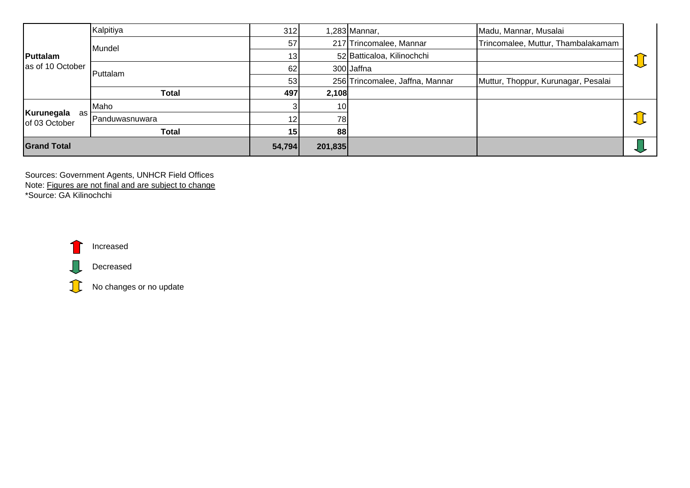| Puttalam<br>as of 10 October        | Kalpitiya      | 312             |                 | l,283 Mannar,                   | Madu, Mannar, Musalai               |  |
|-------------------------------------|----------------|-----------------|-----------------|---------------------------------|-------------------------------------|--|
|                                     | Mundel         | 57              |                 | 217 Trincomalee, Mannar         | Trincomalee, Muttur, Thambalakamam  |  |
|                                     |                | 13              |                 | 52 Batticaloa, Kilinochchi      |                                     |  |
|                                     | Puttalam       | 62              |                 | 300 Jaffna                      |                                     |  |
|                                     |                | 53              |                 | 256 Trincomalee, Jaffna, Mannar | Muttur, Thoppur, Kurunagar, Pesalai |  |
|                                     | Total          | 497             | 2,108           |                                 |                                     |  |
| Kurunegala<br>as l<br>of 03 October | Maho           |                 | 10 <sup>1</sup> |                                 |                                     |  |
|                                     | Panduwasnuwara | 12 <sub>1</sub> | 78I             |                                 |                                     |  |
|                                     | Total          | 15              | 88              |                                 |                                     |  |
| <b>Grand Total</b>                  |                | 54,794          | 201,835         |                                 |                                     |  |

Sources: Government Agents, UNHCR Field Offices Note: Figures are not final and are subject to change \*Source: GA Kilinochchi



 $\mathbf{J}$ 



No changes or no update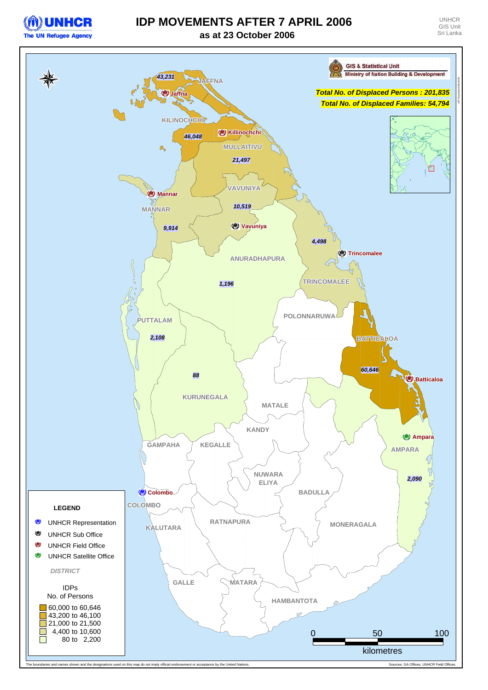

## **IDP MOVEMENTS AFTER 7 APRIL 2006**



**as at 23 October 2006**